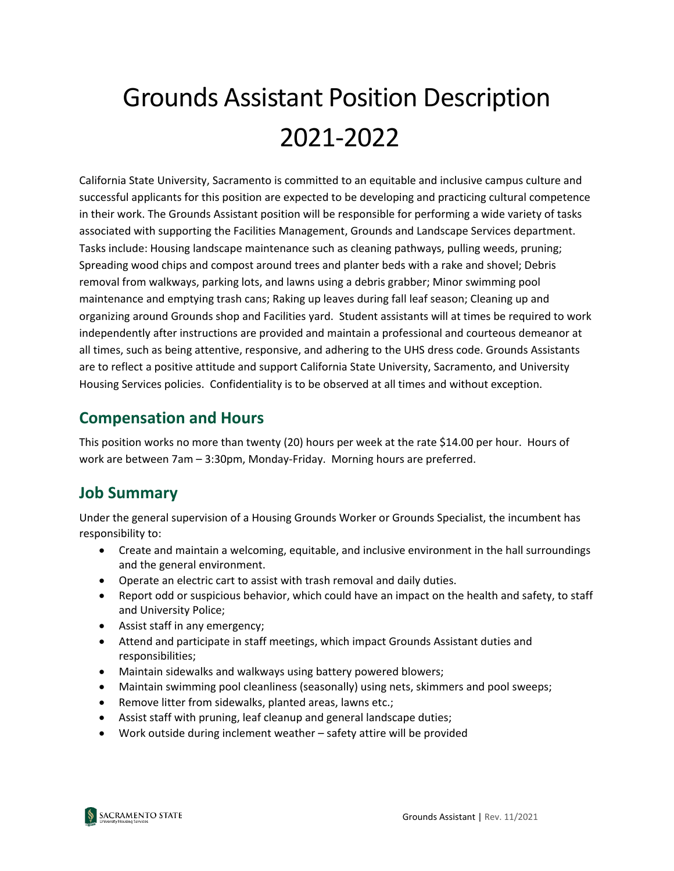# Grounds Assistant Position Description 2021-2022

California State University, Sacramento is committed to an equitable and inclusive campus culture and successful applicants for this position are expected to be developing and practicing cultural competence in their work. The Grounds Assistant position will be responsible for performing a wide variety of tasks associated with supporting the Facilities Management, Grounds and Landscape Services department. Tasks include: Housing landscape maintenance such as cleaning pathways, pulling weeds, pruning; Spreading wood chips and compost around trees and planter beds with a rake and shovel; Debris removal from walkways, parking lots, and lawns using a debris grabber; Minor swimming pool maintenance and emptying trash cans; Raking up leaves during fall leaf season; Cleaning up and organizing around Grounds shop and Facilities yard. Student assistants will at times be required to work independently after instructions are provided and maintain a professional and courteous demeanor at all times, such as being attentive, responsive, and adhering to the UHS dress code. Grounds Assistants are to reflect a positive attitude and support California State University, Sacramento, and University Housing Services policies. Confidentiality is to be observed at all times and without exception.

#### **Compensation and Hours**

This position works no more than twenty (20) hours per week at the rate \$14.00 per hour. Hours of work are between 7am – 3:30pm, Monday-Friday. Morning hours are preferred.

### **Job Summary**

Under the general supervision of a Housing Grounds Worker or Grounds Specialist, the incumbent has responsibility to:

- Create and maintain a welcoming, equitable, and inclusive environment in the hall surroundings and the general environment.
- Operate an electric cart to assist with trash removal and daily duties.
- Report odd or suspicious behavior, which could have an impact on the health and safety, to staff and University Police;
- Assist staff in any emergency;
- Attend and participate in staff meetings, which impact Grounds Assistant duties and responsibilities;
- Maintain sidewalks and walkways using battery powered blowers;
- Maintain swimming pool cleanliness (seasonally) using nets, skimmers and pool sweeps;
- Remove litter from sidewalks, planted areas, lawns etc.;
- Assist staff with pruning, leaf cleanup and general landscape duties;
- Work outside during inclement weather safety attire will be provided